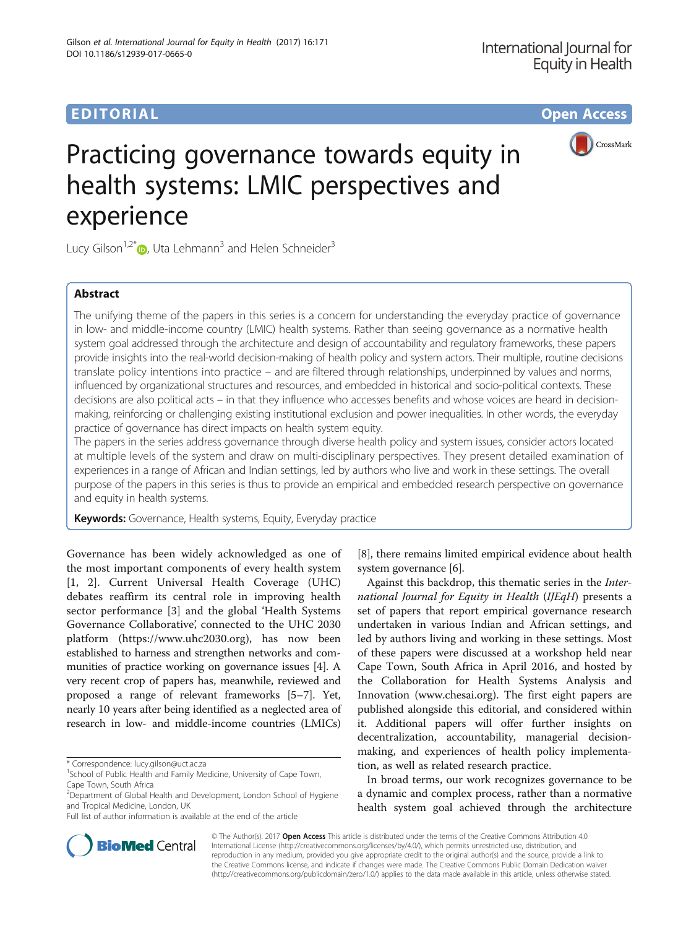

# Practicing governance towards equity in health systems: LMIC perspectives and experience

Lucy Gilson<sup>1,2\*</sup> $\bullet$ , Uta Lehmann<sup>3</sup> and Helen Schneider<sup>3</sup>

# **Abstract**

The unifying theme of the papers in this series is a concern for understanding the everyday practice of governance in low- and middle-income country (LMIC) health systems. Rather than seeing governance as a normative health system goal addressed through the architecture and design of accountability and regulatory frameworks, these papers provide insights into the real-world decision-making of health policy and system actors. Their multiple, routine decisions translate policy intentions into practice – and are filtered through relationships, underpinned by values and norms, influenced by organizational structures and resources, and embedded in historical and socio-political contexts. These decisions are also political acts – in that they influence who accesses benefits and whose voices are heard in decisionmaking, reinforcing or challenging existing institutional exclusion and power inequalities. In other words, the everyday practice of governance has direct impacts on health system equity.

The papers in the series address governance through diverse health policy and system issues, consider actors located at multiple levels of the system and draw on multi-disciplinary perspectives. They present detailed examination of experiences in a range of African and Indian settings, led by authors who live and work in these settings. The overall purpose of the papers in this series is thus to provide an empirical and embedded research perspective on governance and equity in health systems.

Keywords: Governance, Health systems, Equity, Everyday practice

Governance has been widely acknowledged as one of the most important components of every health system [[1, 2\]](#page-3-0). Current Universal Health Coverage (UHC) debates reaffirm its central role in improving health sector performance [[3\]](#page-3-0) and the global 'Health Systems Governance Collaborative', connected to the UHC 2030 platform [\(https://www.uhc2030.org](https://www.uhc2030.org)), has now been established to harness and strengthen networks and communities of practice working on governance issues [\[4\]](#page-3-0). A very recent crop of papers has, meanwhile, reviewed and proposed a range of relevant frameworks [\[5](#page-3-0)–[7](#page-3-0)]. Yet, nearly 10 years after being identified as a neglected area of research in low- and middle-income countries (LMICs)



Against this backdrop, this thematic series in the International Journal for Equity in Health (IJEqH) presents a set of papers that report empirical governance research undertaken in various Indian and African settings, and led by authors living and working in these settings. Most of these papers were discussed at a workshop held near Cape Town, South Africa in April 2016, and hosted by the Collaboration for Health Systems Analysis and Innovation (www.chesai.org). The first eight papers are published alongside this editorial, and considered within it. Additional papers will offer further insights on decentralization, accountability, managerial decisionmaking, and experiences of health policy implementation, as well as related research practice.

In broad terms, our work recognizes governance to be a dynamic and complex process, rather than a normative health system goal achieved through the architecture



© The Author(s). 2017 **Open Access** This article is distributed under the terms of the Creative Commons Attribution 4.0 International License [\(http://creativecommons.org/licenses/by/4.0/](http://creativecommons.org/licenses/by/4.0/)), which permits unrestricted use, distribution, and reproduction in any medium, provided you give appropriate credit to the original author(s) and the source, provide a link to the Creative Commons license, and indicate if changes were made. The Creative Commons Public Domain Dedication waiver [\(http://creativecommons.org/publicdomain/zero/1.0/](http://creativecommons.org/publicdomain/zero/1.0/)) applies to the data made available in this article, unless otherwise stated.

<sup>\*</sup> Correspondence: [lucy.gilson@uct.ac.za](mailto:lucy.gilson@uct.ac.za) <sup>1</sup>

<sup>&</sup>lt;sup>1</sup>School of Public Health and Family Medicine, University of Cape Town, Cape Town, South Africa

<sup>&</sup>lt;sup>2</sup>Department of Global Health and Development, London School of Hygiene and Tropical Medicine, London, UK

Full list of author information is available at the end of the article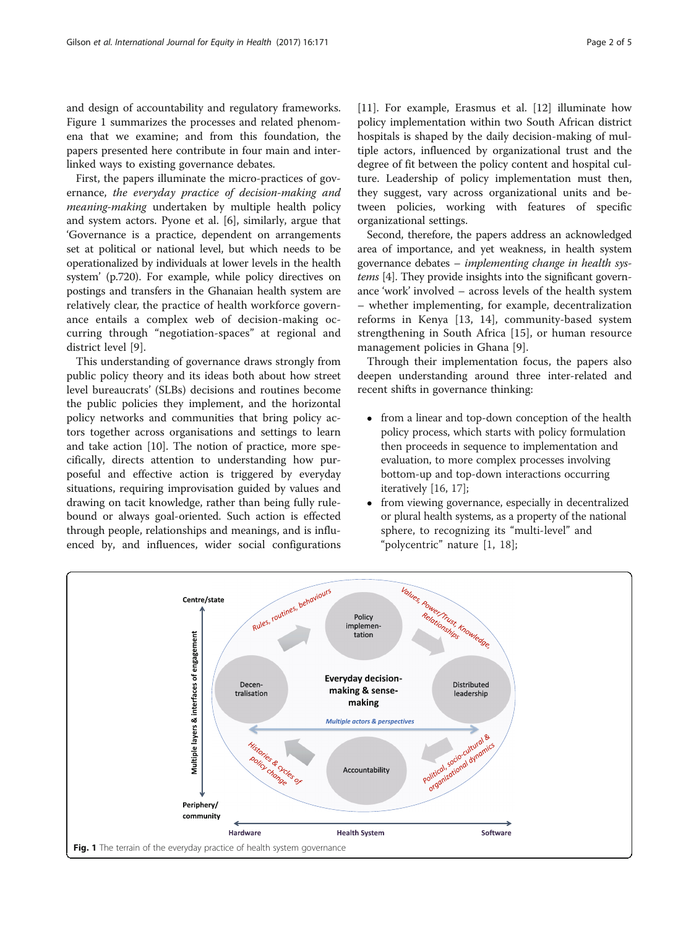and design of accountability and regulatory frameworks. Figure 1 summarizes the processes and related phenomena that we examine; and from this foundation, the papers presented here contribute in four main and interlinked ways to existing governance debates.

First, the papers illuminate the micro-practices of governance, the everyday practice of decision-making and meaning-making undertaken by multiple health policy and system actors. Pyone et al. [[6](#page-3-0)], similarly, argue that 'Governance is a practice, dependent on arrangements set at political or national level, but which needs to be operationalized by individuals at lower levels in the health system' (p.720). For example, while policy directives on postings and transfers in the Ghanaian health system are relatively clear, the practice of health workforce governance entails a complex web of decision-making occurring through "negotiation-spaces" at regional and district level [[9](#page-4-0)].

This understanding of governance draws strongly from public policy theory and its ideas both about how street level bureaucrats' (SLBs) decisions and routines become the public policies they implement, and the horizontal policy networks and communities that bring policy actors together across organisations and settings to learn and take action [\[10](#page-4-0)]. The notion of practice, more specifically, directs attention to understanding how purposeful and effective action is triggered by everyday situations, requiring improvisation guided by values and drawing on tacit knowledge, rather than being fully rulebound or always goal-oriented. Such action is effected through people, relationships and meanings, and is influenced by, and influences, wider social configurations [[11\]](#page-4-0). For example, Erasmus et al. [\[12](#page-4-0)] illuminate how policy implementation within two South African district hospitals is shaped by the daily decision-making of multiple actors, influenced by organizational trust and the degree of fit between the policy content and hospital culture. Leadership of policy implementation must then, they suggest, vary across organizational units and between policies, working with features of specific organizational settings.

Second, therefore, the papers address an acknowledged area of importance, and yet weakness, in health system governance debates – implementing change in health systems [[4\]](#page-3-0). They provide insights into the significant governance 'work' involved – across levels of the health system – whether implementing, for example, decentralization reforms in Kenya [[13](#page-4-0), [14\]](#page-4-0), community-based system strengthening in South Africa [\[15](#page-4-0)], or human resource management policies in Ghana [[9](#page-4-0)].

Through their implementation focus, the papers also deepen understanding around three inter-related and recent shifts in governance thinking:

- from a linear and top-down conception of the health policy process, which starts with policy formulation then proceeds in sequence to implementation and evaluation, to more complex processes involving bottom-up and top-down interactions occurring iteratively [[16,](#page-4-0) [17](#page-4-0)];
- from viewing governance, especially in decentralized or plural health systems, as a property of the national sphere, to recognizing its "multi-level" and "polycentric" nature [[1,](#page-3-0) [18\]](#page-4-0);

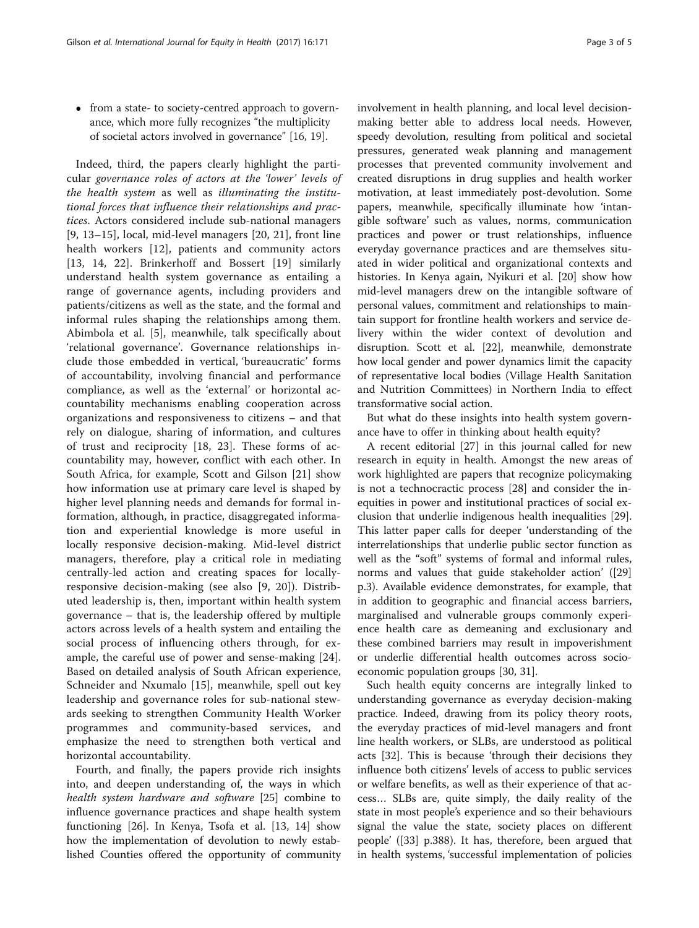• from a state- to society-centred approach to governance, which more fully recognizes "the multiplicity of societal actors involved in governance" [[16](#page-4-0), [19](#page-4-0)].

Indeed, third, the papers clearly highlight the particular governance roles of actors at the 'lower' levels of the health system as well as illuminating the institutional forces that influence their relationships and practices. Actors considered include sub-national managers [[9, 13](#page-4-0)–[15](#page-4-0)], local, mid-level managers [[20, 21\]](#page-4-0), front line health workers [[12\]](#page-4-0), patients and community actors [[13, 14, 22](#page-4-0)]. Brinkerhoff and Bossert [\[19](#page-4-0)] similarly understand health system governance as entailing a range of governance agents, including providers and patients/citizens as well as the state, and the formal and informal rules shaping the relationships among them. Abimbola et al. [[5](#page-3-0)], meanwhile, talk specifically about 'relational governance'. Governance relationships include those embedded in vertical, 'bureaucratic' forms of accountability, involving financial and performance compliance, as well as the 'external' or horizontal accountability mechanisms enabling cooperation across organizations and responsiveness to citizens – and that rely on dialogue, sharing of information, and cultures of trust and reciprocity [[18, 23](#page-4-0)]. These forms of accountability may, however, conflict with each other. In South Africa, for example, Scott and Gilson [[21](#page-4-0)] show how information use at primary care level is shaped by higher level planning needs and demands for formal information, although, in practice, disaggregated information and experiential knowledge is more useful in locally responsive decision-making. Mid-level district managers, therefore, play a critical role in mediating centrally-led action and creating spaces for locallyresponsive decision-making (see also [[9](#page-4-0), [20\]](#page-4-0)). Distributed leadership is, then, important within health system governance – that is, the leadership offered by multiple actors across levels of a health system and entailing the social process of influencing others through, for example, the careful use of power and sense-making [\[24](#page-4-0)]. Based on detailed analysis of South African experience, Schneider and Nxumalo [\[15](#page-4-0)], meanwhile, spell out key leadership and governance roles for sub-national stewards seeking to strengthen Community Health Worker programmes and community-based services, and emphasize the need to strengthen both vertical and horizontal accountability.

Fourth, and finally, the papers provide rich insights into, and deepen understanding of, the ways in which health system hardware and software [[25](#page-4-0)] combine to influence governance practices and shape health system functioning [[26\]](#page-4-0). In Kenya, Tsofa et al. [\[13](#page-4-0), [14](#page-4-0)] show how the implementation of devolution to newly established Counties offered the opportunity of community involvement in health planning, and local level decisionmaking better able to address local needs. However, speedy devolution, resulting from political and societal pressures, generated weak planning and management processes that prevented community involvement and created disruptions in drug supplies and health worker motivation, at least immediately post-devolution. Some papers, meanwhile, specifically illuminate how 'intangible software' such as values, norms, communication practices and power or trust relationships, influence everyday governance practices and are themselves situated in wider political and organizational contexts and histories. In Kenya again, Nyikuri et al. [[20\]](#page-4-0) show how mid-level managers drew on the intangible software of personal values, commitment and relationships to maintain support for frontline health workers and service delivery within the wider context of devolution and disruption. Scott et al. [\[22\]](#page-4-0), meanwhile, demonstrate how local gender and power dynamics limit the capacity of representative local bodies (Village Health Sanitation and Nutrition Committees) in Northern India to effect transformative social action.

But what do these insights into health system governance have to offer in thinking about health equity?

A recent editorial [\[27](#page-4-0)] in this journal called for new research in equity in health. Amongst the new areas of work highlighted are papers that recognize policymaking is not a technocractic process [\[28](#page-4-0)] and consider the inequities in power and institutional practices of social exclusion that underlie indigenous health inequalities [\[29](#page-4-0)]. This latter paper calls for deeper 'understanding of the interrelationships that underlie public sector function as well as the "soft" systems of formal and informal rules, norms and values that guide stakeholder action' ([[29](#page-4-0)] p.3). Available evidence demonstrates, for example, that in addition to geographic and financial access barriers, marginalised and vulnerable groups commonly experience health care as demeaning and exclusionary and these combined barriers may result in impoverishment or underlie differential health outcomes across socioeconomic population groups [\[30](#page-4-0), [31\]](#page-4-0).

Such health equity concerns are integrally linked to understanding governance as everyday decision-making practice. Indeed, drawing from its policy theory roots, the everyday practices of mid-level managers and front line health workers, or SLBs, are understood as political acts [\[32\]](#page-4-0). This is because 'through their decisions they influence both citizens' levels of access to public services or welfare benefits, as well as their experience of that access… SLBs are, quite simply, the daily reality of the state in most people's experience and so their behaviours signal the value the state, society places on different people' ([\[33\]](#page-4-0) p.388). It has, therefore, been argued that in health systems, 'successful implementation of policies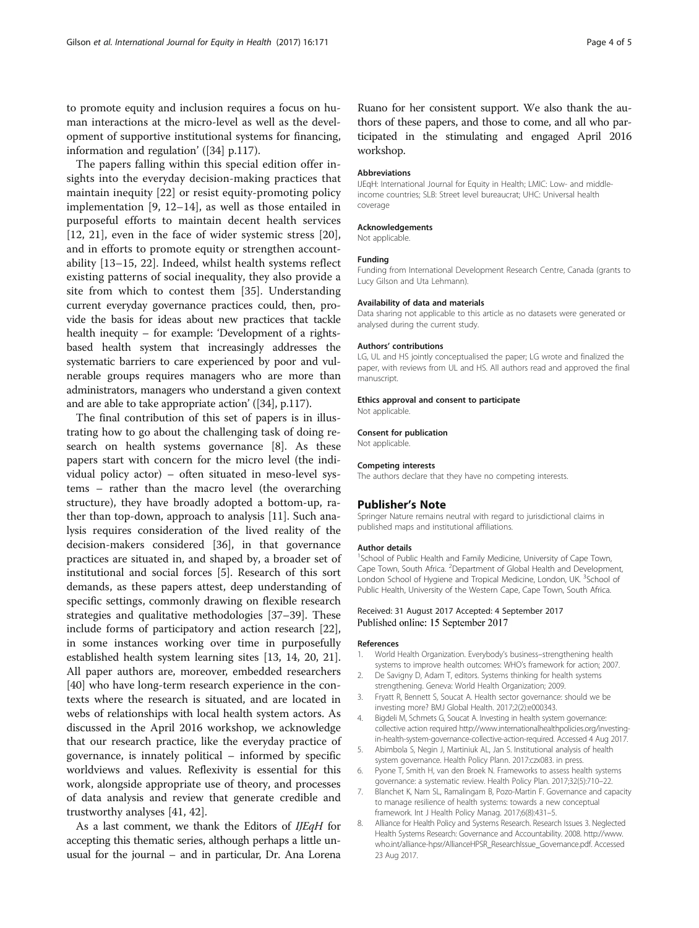<span id="page-3-0"></span>to promote equity and inclusion requires a focus on human interactions at the micro-level as well as the development of supportive institutional systems for financing, information and regulation' ([[34](#page-4-0)] p.117).

The papers falling within this special edition offer insights into the everyday decision-making practices that maintain inequity [[22](#page-4-0)] or resist equity-promoting policy implementation [[9, 12](#page-4-0)–[14](#page-4-0)], as well as those entailed in purposeful efforts to maintain decent health services [[12, 21\]](#page-4-0), even in the face of wider systemic stress [[20](#page-4-0)], and in efforts to promote equity or strengthen accountability [\[13](#page-4-0)–[15, 22\]](#page-4-0). Indeed, whilst health systems reflect existing patterns of social inequality, they also provide a site from which to contest them [[35\]](#page-4-0). Understanding current everyday governance practices could, then, provide the basis for ideas about new practices that tackle health inequity – for example: 'Development of a rightsbased health system that increasingly addresses the systematic barriers to care experienced by poor and vulnerable groups requires managers who are more than administrators, managers who understand a given context and are able to take appropriate action' ([\[34](#page-4-0)], p.117).

The final contribution of this set of papers is in illustrating how to go about the challenging task of doing research on health systems governance [8]. As these papers start with concern for the micro level (the individual policy actor) – often situated in meso-level systems – rather than the macro level (the overarching structure), they have broadly adopted a bottom-up, rather than top-down, approach to analysis [[11](#page-4-0)]. Such analysis requires consideration of the lived reality of the decision-makers considered [\[36](#page-4-0)], in that governance practices are situated in, and shaped by, a broader set of institutional and social forces [5]. Research of this sort demands, as these papers attest, deep understanding of specific settings, commonly drawing on flexible research strategies and qualitative methodologies [\[37](#page-4-0)–[39\]](#page-4-0). These include forms of participatory and action research [\[22](#page-4-0)], in some instances working over time in purposefully established health system learning sites [[13, 14](#page-4-0), [20](#page-4-0), [21](#page-4-0)]. All paper authors are, moreover, embedded researchers [[40\]](#page-4-0) who have long-term research experience in the contexts where the research is situated, and are located in webs of relationships with local health system actors. As discussed in the April 2016 workshop, we acknowledge that our research practice, like the everyday practice of governance, is innately political – informed by specific worldviews and values. Reflexivity is essential for this work, alongside appropriate use of theory, and processes of data analysis and review that generate credible and trustworthy analyses [[41](#page-4-0), [42](#page-4-0)].

As a last comment, we thank the Editors of IJEqH for accepting this thematic series, although perhaps a little unusual for the journal – and in particular, Dr. Ana Lorena Ruano for her consistent support. We also thank the authors of these papers, and those to come, and all who participated in the stimulating and engaged April 2016 workshop.

#### Abbreviations

IJEqH: International Journal for Equity in Health; LMIC: Low- and middleincome countries; SLB: Street level bureaucrat; UHC: Universal health coverage

#### Acknowledgements

Not applicable.

#### Funding

Funding from International Development Research Centre, Canada (grants to Lucy Gilson and Uta Lehmann).

#### Availability of data and materials

Data sharing not applicable to this article as no datasets were generated or analysed during the current study.

#### Authors' contributions

LG, UL and HS jointly conceptualised the paper; LG wrote and finalized the paper, with reviews from UL and HS. All authors read and approved the final manuscript.

#### Ethics approval and consent to participate

Not applicable.

#### Consent for publication

Not applicable.

#### Competing interests

The authors declare that they have no competing interests.

### Publisher's Note

Springer Nature remains neutral with regard to jurisdictional claims in published maps and institutional affiliations.

#### Author details

<sup>1</sup>School of Public Health and Family Medicine, University of Cape Town Cape Town, South Africa. <sup>2</sup>Department of Global Health and Development London School of Hygiene and Tropical Medicine, London, UK. <sup>3</sup>School of Public Health, University of the Western Cape, Cape Town, South Africa.

#### Received: 31 August 2017 Accepted: 4 September 2017 Published online: 15 September 2017

#### References

- 1. World Health Organization. Everybody's business–strengthening health systems to improve health outcomes: WHO's framework for action; 2007.
- 2. De Savigny D, Adam T, editors. Systems thinking for health systems strengthening. Geneva: World Health Organization; 2009.
- 3. Fryatt R, Bennett S, Soucat A. Health sector governance: should we be investing more? BMJ Global Health. 2017;2(2):e000343.
- 4. Bigdeli M, Schmets G, Soucat A. Investing in health system governance: collective action required [http://www.internationalhealthpolicies.org/investing](http://www.internationalhealthpolicies.org/investing-in-health-system-governance-collective-action-required)[in-health-system-governance-collective-action-required.](http://www.internationalhealthpolicies.org/investing-in-health-system-governance-collective-action-required) Accessed 4 Aug 2017.
- 5. Abimbola S, Negin J, Martiniuk AL, Jan S. Institutional analysis of health system governance. Health Policy Plann. 2017:czx083. in press.
- 6. Pyone T, Smith H, van den Broek N. Frameworks to assess health systems governance: a systematic review. Health Policy Plan. 2017;32(5):710–22.
- 7. Blanchet K, Nam SL, Ramalingam B, Pozo-Martin F. Governance and capacity to manage resilience of health systems: towards a new conceptual framework. Int J Health Policy Manag. 2017;6(8):431–5.
- 8. Alliance for Health Policy and Systems Research. Research Issues 3. Neglected Health Systems Research: Governance and Accountability. 2008. [http://www.](http://www.who.int/alliance-hpsr/AllianceHPSR_ResearchIssue_Governance.pdf) [who.int/alliance-hpsr/AllianceHPSR\\_ResearchIssue\\_Governance.pdf.](http://www.who.int/alliance-hpsr/AllianceHPSR_ResearchIssue_Governance.pdf) Accessed 23 Aug 2017.